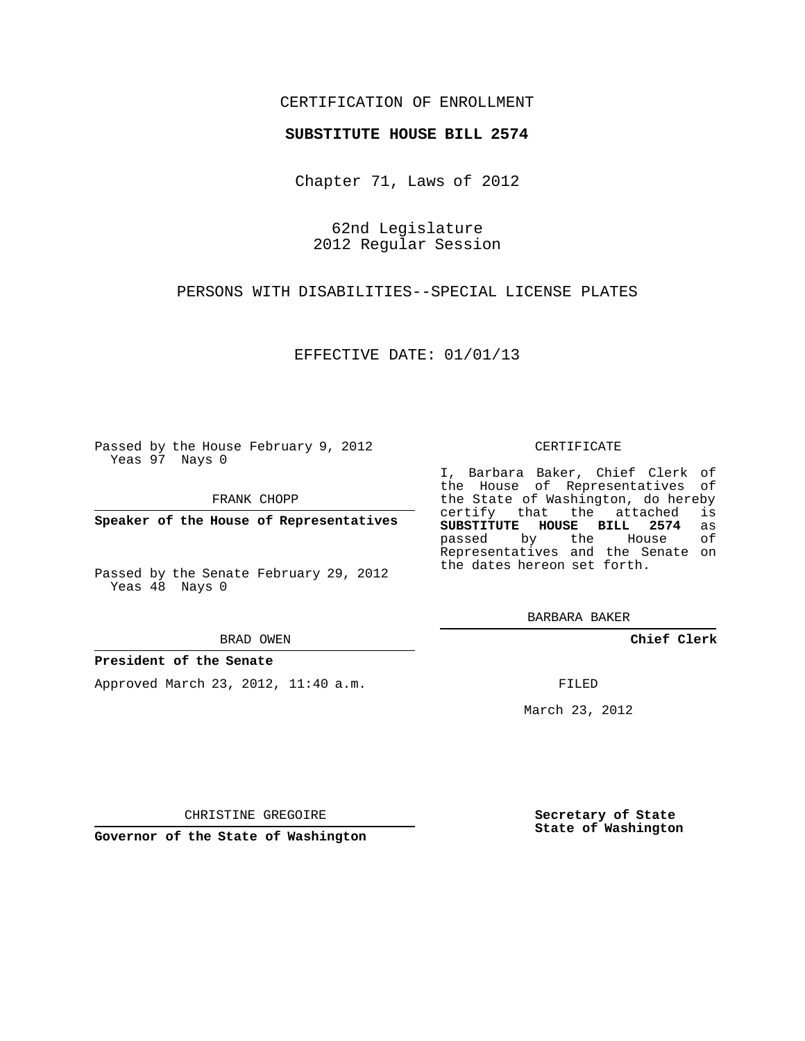### CERTIFICATION OF ENROLLMENT

#### **SUBSTITUTE HOUSE BILL 2574**

Chapter 71, Laws of 2012

62nd Legislature 2012 Regular Session

PERSONS WITH DISABILITIES--SPECIAL LICENSE PLATES

EFFECTIVE DATE: 01/01/13

Passed by the House February 9, 2012 Yeas 97 Nays 0

FRANK CHOPP

**Speaker of the House of Representatives**

Passed by the Senate February 29, 2012 Yeas 48 Nays 0

BRAD OWEN

#### **President of the Senate**

Approved March 23, 2012, 11:40 a.m.

CERTIFICATE

I, Barbara Baker, Chief Clerk of the House of Representatives of the State of Washington, do hereby<br>certify that the attached is certify that the attached **SUBSTITUTE HOUSE BILL 2574** as passed by the House of Representatives and the Senate on the dates hereon set forth.

BARBARA BAKER

**Chief Clerk**

FILED

March 23, 2012

CHRISTINE GREGOIRE

**Governor of the State of Washington**

**Secretary of State State of Washington**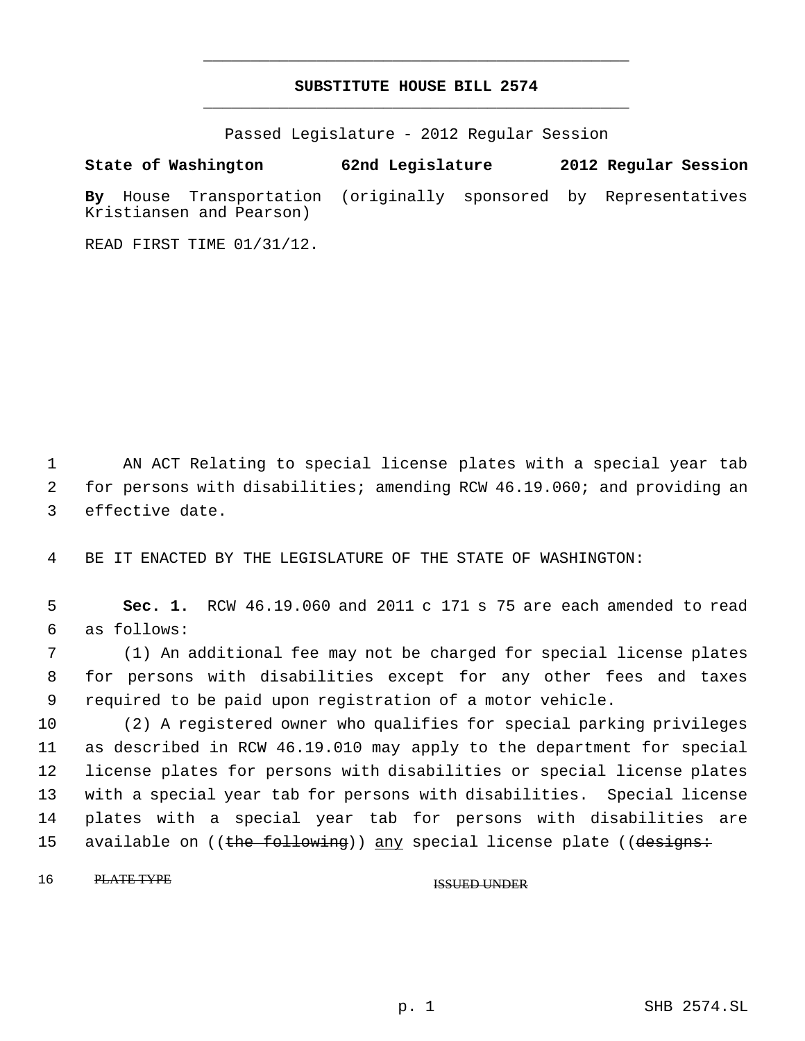## **SUBSTITUTE HOUSE BILL 2574** \_\_\_\_\_\_\_\_\_\_\_\_\_\_\_\_\_\_\_\_\_\_\_\_\_\_\_\_\_\_\_\_\_\_\_\_\_\_\_\_\_\_\_\_\_

\_\_\_\_\_\_\_\_\_\_\_\_\_\_\_\_\_\_\_\_\_\_\_\_\_\_\_\_\_\_\_\_\_\_\_\_\_\_\_\_\_\_\_\_\_

Passed Legislature - 2012 Regular Session

**State of Washington 62nd Legislature 2012 Regular Session By** House Transportation (originally sponsored by Representatives Kristiansen and Pearson)

READ FIRST TIME 01/31/12.

 1 AN ACT Relating to special license plates with a special year tab 2 for persons with disabilities; amending RCW 46.19.060; and providing an 3 effective date.

4 BE IT ENACTED BY THE LEGISLATURE OF THE STATE OF WASHINGTON:

 5 **Sec. 1.** RCW 46.19.060 and 2011 c 171 s 75 are each amended to read 6 as follows:

 7 (1) An additional fee may not be charged for special license plates 8 for persons with disabilities except for any other fees and taxes 9 required to be paid upon registration of a motor vehicle.

 (2) A registered owner who qualifies for special parking privileges as described in RCW 46.19.010 may apply to the department for special license plates for persons with disabilities or special license plates with a special year tab for persons with disabilities. Special license plates with a special year tab for persons with disabilities are 15 available on ((<del>the following</del>)) <u>any</u> special license plate ((<del>designs:</del>

16 PLATE TYPE ISSUED UNDER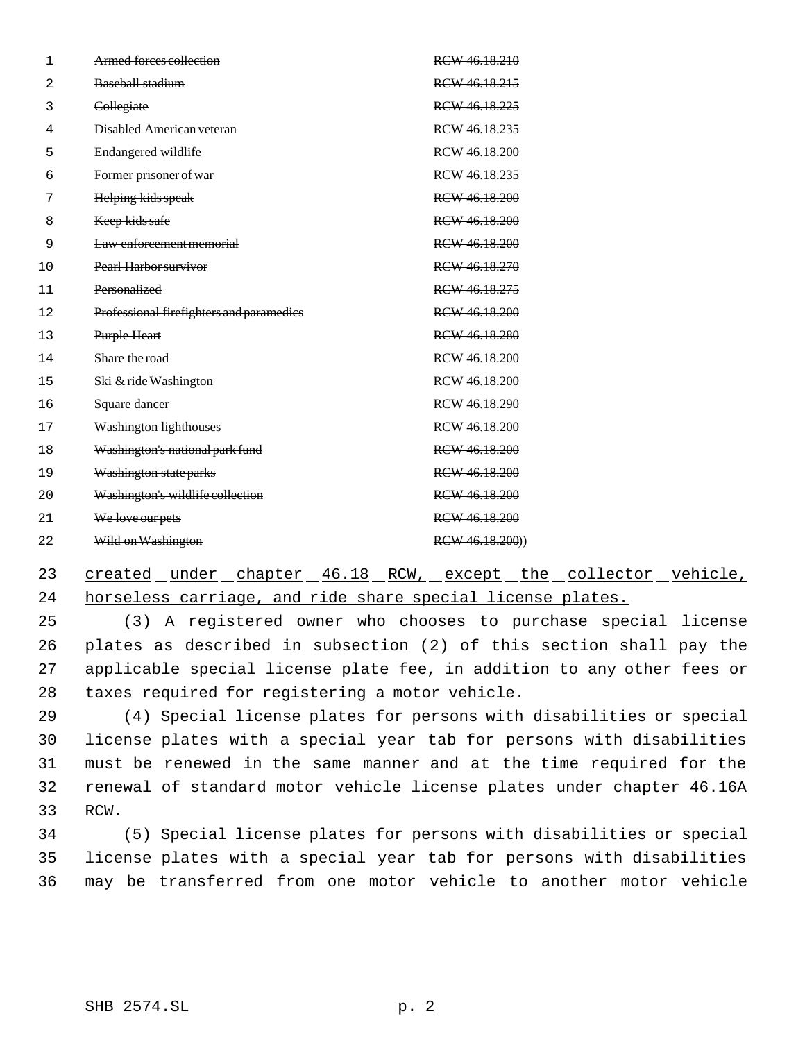| $\mathbf{1}$ | Armed forces collection                  | RCW 46.18.210   |
|--------------|------------------------------------------|-----------------|
| 2            | Baseball stadium                         | RCW 46.18.215   |
| 3            | Collegiate                               | RCW 46.18.225   |
| 4            | Disabled American veteran                | RCW 46.18.235   |
| 5            | Endangered wildlife                      | RCW 46.18.200   |
| 6            | Former prisoner of war                   | RCW 46.18.235   |
| 7            | Helping kids speak                       | RCW 46.18.200   |
| 8            | Keep kids safe                           | RCW 46.18.200   |
| 9            | Law enforcement memorial                 | RCW 46.18.200   |
| 10           | Pearl Harbor survivor                    | RCW 46.18.270   |
| 11           | Personalized                             | RCW 46.18.275   |
| 12           | Professional firefighters and paramedies | RCW 46.18.200   |
| 13           | Purple Heart                             | RCW 46.18.280   |
| 14           | Share the road                           | RCW 46.18.200   |
| 15           | Ski & ride Washington                    | RCW 46.18.200   |
| 16           | Square dancer                            | RCW 46.18.290   |
| 17           | <b>Washington lighthouses</b>            | RCW 46.18.200   |
| 18           | Washington's national park fund          | RCW 46.18.200   |
| 19           | Washington state parks                   | RCW 46.18.200   |
| 20           | Washington's wildlife collection         | RCW 46.18.200   |
| 21           | We love our pets                         | RCW 46.18.200   |
| 22           | Wild on Washington                       | RCW 46.18.200)) |

# 23 created under chapter 46.18 RCW, except the collector vehicle, horseless carriage, and ride share special license plates.

 (3) A registered owner who chooses to purchase special license plates as described in subsection (2) of this section shall pay the applicable special license plate fee, in addition to any other fees or taxes required for registering a motor vehicle.

 (4) Special license plates for persons with disabilities or special license plates with a special year tab for persons with disabilities must be renewed in the same manner and at the time required for the renewal of standard motor vehicle license plates under chapter 46.16A RCW.

 (5) Special license plates for persons with disabilities or special license plates with a special year tab for persons with disabilities may be transferred from one motor vehicle to another motor vehicle